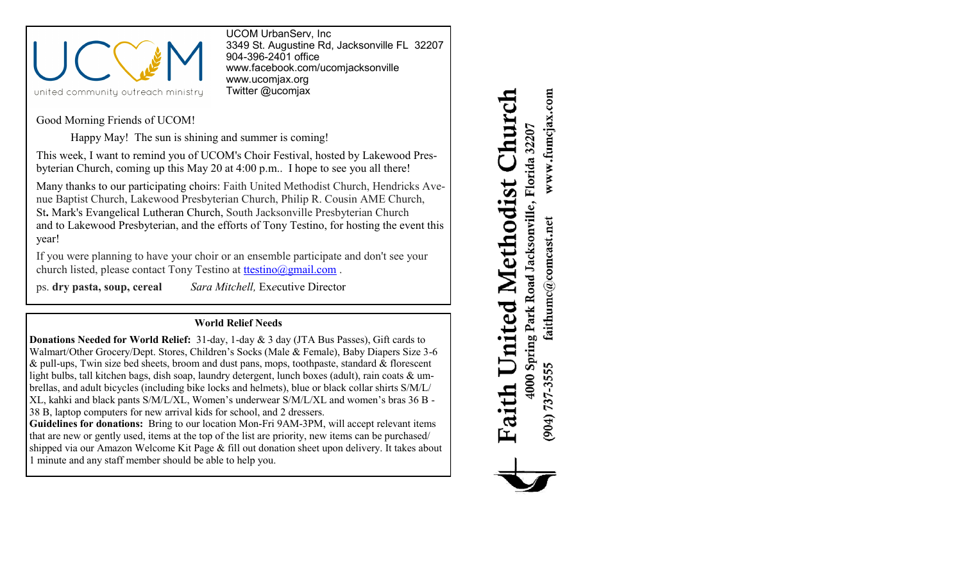

UCOM UrbanServ, Inc 3349 St. Augustine Rd, Jacksonville FL 32207 904-396-2401 office [www.facebook.com/ucomjacksonville](http://www.facebook.com/ucomjacksonville) [www.ucomjax.org](http://www.ucomjax.org) Twitter @ucomjax

Good Morning Friends of UCOM!

Happy May! The sun is shining and summer is coming!

This week, I want to remind you of UCOM's Choir Festival, hosted by Lakewood Presbyterian Church, coming up this May 20 at 4:00 p.m.. I hope to see you all there!

Many thanks to our participating choirs: Faith United Methodist Church, Hendricks Avenue Baptist Church, Lakewood Presbyterian Church, Philip R. Cousin AME Church, St**.** Mark's Evangelical Lutheran Church, South Jacksonville Presbyterian Church and to Lakewood Presbyterian, and the efforts of Tony Testino, for hosting the event this year!

If you were planning to have your choir or an ensemble participate and don't see your church listed, please contact Tony Testino at [ttestino@gmail.com](mailto:ttestino@gmail.com).

ps. **dry pasta, soup, cereal** *Sara Mitchell,* Ex*e*cutive Director

## **World Relief Needs**

**Donations Needed for World Relief:** 31-day, 1-day & 3 day (JTA Bus Passes), Gift cards to Walmart/Other Grocery/Dept. Stores, Children's Socks (Male & Female), Baby Diapers Size 3-6  $&$  pull-ups, Twin size bed sheets, broom and dust pans, mops, toothpaste, standard  $&$  florescent light bulbs, tall kitchen bags, dish soap, laundry detergent, lunch boxes (adult), rain coats & umbrellas, and adult bicycles (including bike locks and helmets), blue or black collar shirts S/M/L/ XL, kahki and black pants S/M/L/XL, Women's underwear S/M/L/XL and women's bras 36 B - 38 B, laptop computers for new arrival kids for school, and 2 dressers.

**Guidelines for donations:** Bring to our location Mon-Fri 9AM-3PM, will accept relevant items that are new or gently used, items at the top of the list are priority, new items can be purchased/ shipped via our Amazon Welcome Kit Page & fill out donation sheet upon delivery. It takes about 1 minute and any staff member should be able to help you.

www.fumcjax.com **hurc** 4000 Spring Park Road Jacksonville, Florida 32207 United Methodist faithumc@comcast.net  $(904)$  737-3555 Faith